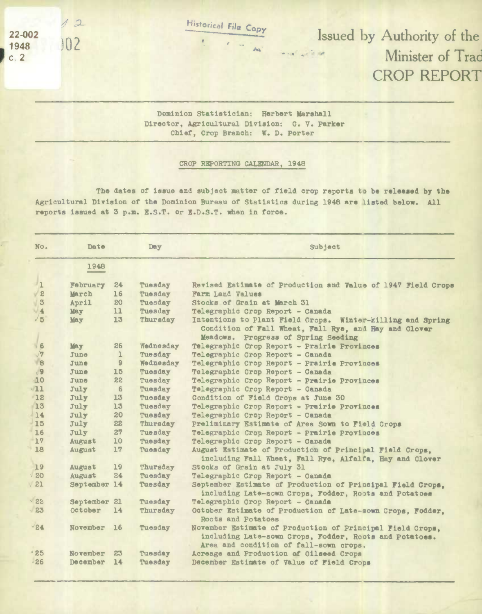22-002 1948  $102$ c. 2

 $12$ 

*Historical F,J*  Historical File Copy

Issued by Authority of the Minister of Trad CROP REPORT

**Dominion Statistician: Herbert Marshall Director, Agricultural Division:** C. V. Parker Chief, Crop Branch: W. D. Porter

## CROP REPORTING CALENDAR, 1948

The dates of issue and subject matter of field crop reports to be released by the Agricultural Division of the Dominion Bureau of Statistics during 1948 are listed below. All reports issued at 3 p.m. E.S.T. or E.D.S.T. when in force.

| No.          | Date            |              | Day       | Subject                                                                                                                                                       |
|--------------|-----------------|--------------|-----------|---------------------------------------------------------------------------------------------------------------------------------------------------------------|
|              | 1948            |              |           |                                                                                                                                                               |
| $-1$         | <b>February</b> | 24           | Tuesday   | Revised Estimate of Production and Value of 1947 Field Crops                                                                                                  |
| /2           | March           | 16           | Tuesday   | Farm Land Values                                                                                                                                              |
| $\mathbf{3}$ | April           | 20           | Tuesday   | Stocks of Grain at March 31                                                                                                                                   |
| $-4$         | May             | 11           | Tuesday   | Telegraphic Crop Report - Canada                                                                                                                              |
| /5           | <b>May</b>      | 13           | Thursday  | Intentions to Plant Field Crops. Winter-killing and Spring<br>Condition of Fall Wheat, Fall Rye, and Hay and Clover<br>Meadows. Progress of Spring Seeding    |
| $\sqrt{6}$   | May             | 26           | Wednesday | Telegraphic Crop Report - Prairie Provinces                                                                                                                   |
| $\sqrt{7}$   | June            | $\mathbf{1}$ | Tuesday   | Telegraphic Crop Report - Canada                                                                                                                              |
| <b>B</b>     | June            | 9            | Wednesday | Telegraphic Crop Report - Prairie Provinces                                                                                                                   |
| 19           | June            | 15           | Tuesday   | Telegraphic Crop Report - Canada                                                                                                                              |
| 10           | June            | 22           | Tuesday   | Telegraphic Crop Report - Prairie Provinces                                                                                                                   |
| 11           | July            | 6            | Tuesday   | Telegraphic Crop Report - Canada                                                                                                                              |
| 12           | <b>July</b>     | 13           | Tuesday   | Condition of Field Crops at June 30                                                                                                                           |
| 13           | July            | 13           | Tuesday   | Telegraphic Crop Report - Prairie Provinces                                                                                                                   |
| 14           | <b>July</b>     | 20           | Tuesday   | Telegraphic Crop Report - Canada                                                                                                                              |
| 15           | July            | 22           | Thursday  | Preliminary Estimate of Area Sown to Field Crops                                                                                                              |
| 16           | July            | 27           | Tuesday   | Telegraphic Crop Report - Prairie Provinces                                                                                                                   |
| 17           | August          | 10           | Tuesday   | Telegraphic Crop Report - Canada                                                                                                                              |
| 18           | August          | 17           | Tuesday   | August Estimate of Production of Principal Field Crops.<br>including Fall Wheat, Fall Rye, Alfalfa, Hay and Clover                                            |
| 19           | August          | 19           | Thursday  | Stocks of Grain at July 31                                                                                                                                    |
| 20           | August          | 24           | Tuesday   | Telegraphic Crop Report - Canada                                                                                                                              |
| 21           | September 14    |              | Tuesday   | September Estimate of Production of Principal Field Crops.<br>including Late-sown Crops, Fodder, Roots and Potatoes                                           |
| 22           | September 21    |              | Tuesday   | Telegraphic Crop Report - Canada                                                                                                                              |
| 23           | October         | 14           | Thursday  | October Estimate of Production of Late-sown Crops, Fodder,<br>Roots and Potatoes                                                                              |
| $\sqrt{24}$  | November        | 16           | Tuesday   | November Estimate of Production of Principal Field Crops.<br>including Late-sown Crops, Fodder, Roots and Potatoes.<br>Area and condition of fall-sown crops. |
| 25           | November        | 23           | Tuesday   | Acreage and Production of Oilseed Crops                                                                                                                       |
| 126          | December        | 14           | Tuesday   | December Estimate of Value of Field Crops                                                                                                                     |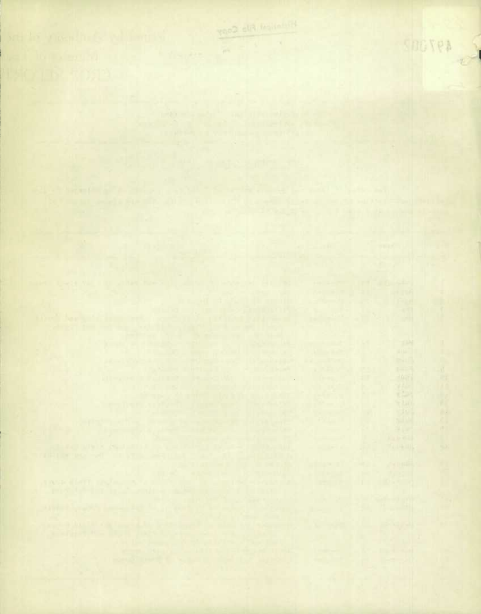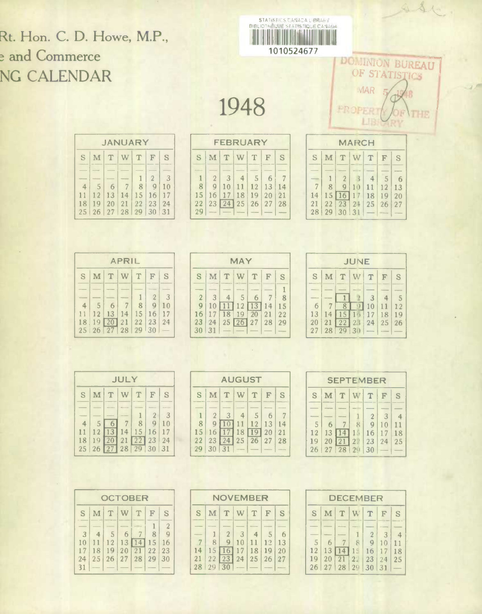Rt. Hon. C. D. Howe, M.P., and Commerce NC CALENDAR



| <b>JANUARY</b> |                |                 |                          |    |                |    |  |  |  |
|----------------|----------------|-----------------|--------------------------|----|----------------|----|--|--|--|
| S              | M              | T               | W                        | T  | F              | S  |  |  |  |
|                |                |                 |                          |    |                |    |  |  |  |
|                |                |                 |                          | 1  | $\overline{2}$ | 3  |  |  |  |
| 4              | $\overline{5}$ | 6               | $\overline{\phantom{a}}$ | 8  | 9              | 10 |  |  |  |
| 11             | 12             | 13              | 14                       | 15 | 16             | 17 |  |  |  |
| 18             | 19             | 20 <sup>°</sup> | 21                       | 22 | 23             | 24 |  |  |  |
| 25             | 26             | 27 28           |                          | 29 | 30             | 31 |  |  |  |

| <b>FEBRUARY</b>             |                |          |          |                       |          |          |  |  |
|-----------------------------|----------------|----------|----------|-----------------------|----------|----------|--|--|
| MT<br>T<br>F<br>S<br>S<br>W |                |          |          |                       |          |          |  |  |
|                             | $\overline{2}$ | 3        |          | $\overline{5}$        | 6        |          |  |  |
| 8<br>15                     | 9<br>16        | 10<br>17 | 11<br>18 | 12<br>19 <sup>1</sup> | 13<br>20 | 14<br>21 |  |  |
| 22<br>29                    | 23             |          | $24$ 25  | 26                    | 27       | 28       |  |  |

|                                 | <b>MARCH</b> |                |              |          |          |          |  |  |  |
|---------------------------------|--------------|----------------|--------------|----------|----------|----------|--|--|--|
| S<br>T<br>M<br>W<br>T<br>F<br>S |              |                |              |          |          |          |  |  |  |
|                                 | 1            | $\overline{2}$ | $\mathbf{R}$ | 4        | 5        | 6        |  |  |  |
| 7                               | $\mathbf{8}$ | q              | 10           | 11       | 12       | 13       |  |  |  |
| 14<br>21                        | 15<br>22     | 16<br>23       | 17<br>$2 +$  | 18<br>25 | 19<br>26 | 20<br>27 |  |  |  |
| 28                              | 29           | 30             | 31           |          |          |          |  |  |  |

PROPERT

MAR<sub>5</sub>

 $\Lambda$ 

R.

THE

|               | <b>APRIL</b>                                        |               |                            |                             |                                                 |                     |  |  |
|---------------|-----------------------------------------------------|---------------|----------------------------|-----------------------------|-------------------------------------------------|---------------------|--|--|
| S             | M                                                   | T             | W                          | T                           | F                                               | S                   |  |  |
| 4<br>11<br>18 | $\overline{5}$<br>12 <sup>2</sup><br>19<br>25 26 27 | 6<br>13<br>20 | $\overline{7}$<br>14<br>21 | ш<br>8<br>15<br>22<br>28 29 | $\overline{2}$<br>$\mathbf Q$<br>16<br>23<br>30 | 3<br>10<br>17<br>24 |  |  |

|                 | <b>MAY</b> |    |                  |    |    |    |  |  |
|-----------------|------------|----|------------------|----|----|----|--|--|
| S               | M          | T  | W                | T  | F  | S  |  |  |
| $\overline{2}$  | 3          | 4  | $5\overline{)}$  | 6  |    | 8  |  |  |
| Q               | 10         |    | 12               | 13 | 14 | 15 |  |  |
| 16              | 17         | 18 | 19               | 20 | 21 | 22 |  |  |
| 23              | 24         |    | $25 \, 26 \, 27$ |    | 28 | 29 |  |  |
| 30 <sub>1</sub> | 31         |    |                  |    |    |    |  |  |

| JUNE |    |    |    |    |              |    |  |  |  |
|------|----|----|----|----|--------------|----|--|--|--|
| S    | M. | T  | W  | T  | $\mathbb{F}$ | S  |  |  |  |
|      |    |    |    | 3  | 4            | 5  |  |  |  |
| 6    |    | 8  | Q  | 10 | 11           | 12 |  |  |  |
| 13   | 14 | 15 | 16 | 17 | 18           | 19 |  |  |  |
| 20   | 21 | 22 | 23 | 24 | 25           | 26 |  |  |  |
| 27   | 28 | 29 | 30 |    |              |    |  |  |  |

|    | JULY            |         |                |             |                          |                      |  |  |  |
|----|-----------------|---------|----------------|-------------|--------------------------|----------------------|--|--|--|
| S  |                 | $M$   T | W              | T           | F                        | S                    |  |  |  |
|    |                 |         |                |             |                          |                      |  |  |  |
|    | 5               |         | 7              | 8           | $\mathbf{2}$<br><b>Q</b> | $\overline{3}$<br>10 |  |  |  |
| 11 | 12 <sup>2</sup> | 13      | 14             | 15          | 16                       | 17                   |  |  |  |
| 18 | 19              | 20      |                | 21 22 23 24 |                          |                      |  |  |  |
|    |                 |         | 25 26 27 28 29 |             | 30 31                    |                      |  |  |  |

|    | <b>AUGUST</b>              |    |    |                |    |    |  |  |  |
|----|----------------------------|----|----|----------------|----|----|--|--|--|
| S. | T<br>T<br>S<br>M<br>W<br>F |    |    |                |    |    |  |  |  |
|    |                            |    |    |                |    |    |  |  |  |
|    | 2                          | 3  |    | $\overline{5}$ | 6  |    |  |  |  |
| 8  | 9                          |    | 11 | 12             | 13 | 14 |  |  |  |
| 15 | 16                         |    | 18 | 19             | 20 | 21 |  |  |  |
| 22 | 23                         | 24 | 25 | 26             | 27 | 28 |  |  |  |
| 29 | 30                         | 31 |    |                |    |    |  |  |  |

| <b>SEPTEMBER</b> |    |             |                |                     |         |         |  |  |  |
|------------------|----|-------------|----------------|---------------------|---------|---------|--|--|--|
| S                | M  | $\mathbf T$ | W              | T                   | F       | S       |  |  |  |
| $\overline{5}$   | 6  |             | R              | $\overline{2}$<br>9 | 3<br>10 | 4<br>11 |  |  |  |
| 12               | 13 | 14          | 1 <sup>1</sup> | 16                  | 17      | 18      |  |  |  |
| 19               | 20 | 21          | 2 <sup>2</sup> | 23                  | 24      | 25      |  |  |  |
| 26 <sup>1</sup>  |    | 27 28       | 29             | 30                  |         |         |  |  |  |

|    | <b>OCTOBER</b> |                 |                |    |              |                |  |  |  |
|----|----------------|-----------------|----------------|----|--------------|----------------|--|--|--|
| S  | M              | T.              | W              | T  | $\mathbb{F}$ | S              |  |  |  |
|    |                |                 |                |    |              | $\overline{2}$ |  |  |  |
| 3  | 4              | $5\overline{)}$ | 6              |    | 8            | $\mathbf Q$    |  |  |  |
| 10 | 11             | 12              | 13             | 14 | 15           | 16             |  |  |  |
| 17 | 18             | 19              | 2 <sub>0</sub> | 21 | 22           | 23             |  |  |  |
| 24 | 25             | 26              | 27             | 28 | 29           | 30             |  |  |  |
| 31 |                |                 |                |    |              |                |  |  |  |

|          | <b>NOVEMBER</b> |          |          |          |                |          |  |  |
|----------|-----------------|----------|----------|----------|----------------|----------|--|--|
| S        |                 | MT       | W.       | T        | $\mathbf{F}$   | S        |  |  |
|          |                 | 2        | 3        |          | $\overline{5}$ | 6        |  |  |
|          | 8               | 9        | 10       | 11       | 12             | 13       |  |  |
| 14<br>21 | 15<br>22        | 16<br>23 | 17<br>24 | 18<br>25 | 19<br>26       | 20<br>27 |  |  |
|          | 28 29 30        |          |          |          |                |          |  |  |

| <b>DECEMBER</b> |       |               |    |                |                |    |
|-----------------|-------|---------------|----|----------------|----------------|----|
| S               | M     | T             | w  | T              | F              | S  |
|                 |       |               |    | $\overline{2}$ | 3              |    |
| 5               | 6     |               | я  | Q              | 1 <sub>0</sub> | 11 |
| 12              | 13    | $\mathcal{A}$ | 15 | 16             | 17             | 18 |
| 19              | 20    | 21            | 22 | 23             | 24             | 25 |
| 26              | 27 28 |               | 29 | 30             | 31             |    |